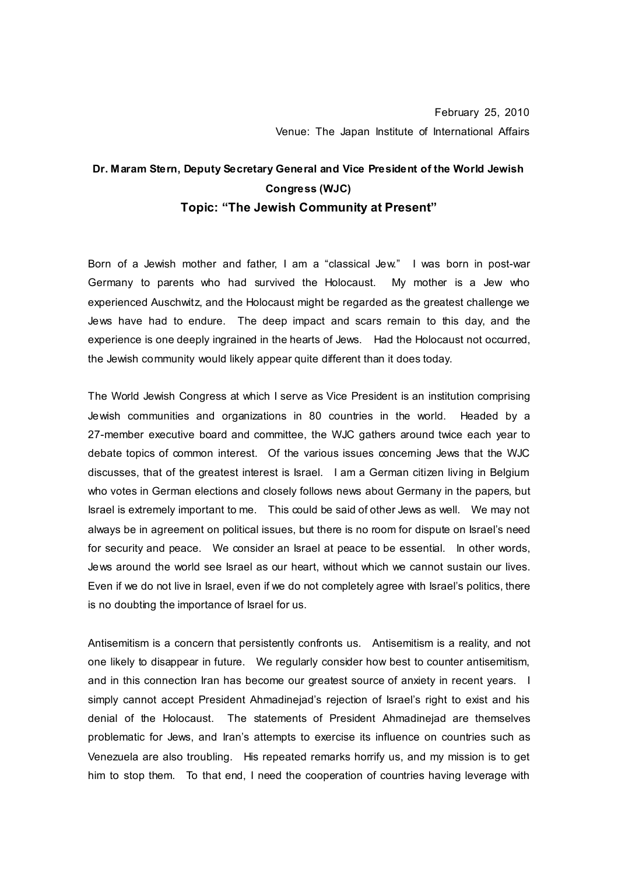## **Dr. Maram Stern, Deputy Secretary General and Vice President of the World Jewish Congress (WJC) Topic: "The Jewish Community at Present"**

Born of a Jewish mother and father, I am a "classical Jew." I was born in post-war Germany to parents who had survived the Holocaust. My mother is a Jew who experienced Auschwitz, and the Holocaust might be regarded as the greatest challenge we Jews have had to endure. The deep impact and scars remain to this day, and the experience is one deeply ingrained in the hearts of Jews. Had the Holocaust not occurred, the Jewish community would likely appear quite different than it does today.

The World Jewish Congress at which I serve as Vice President is an institution comprising Jewish communities and organizations in 80 countries in the world. Headed by a 27-member executive board and committee, the WJC gathers around twice each year to debate topics of common interest. Of the various issues concerning Jews that the WJC discusses, that of the greatest interest is Israel. I am a German citizen living in Belgium who votes in German elections and closely follows news about Germany in the papers, but Israel is extremely important to me. This could be said of other Jews as well. We may not always be in agreement on political issues, but there is no room for dispute on Israel's need for security and peace. We consider an Israel at peace to be essential. In other words, Jews around the world see Israel as our heart, without which we cannot sustain our lives. Even if we do not live in Israel, even if we do not completely agree with Israel's politics, there is no doubting the importance of Israel for us.

Antisemitism is a concern that persistently confronts us. Antisemitism is a reality, and not one likely to disappear in future. We regularly consider how best to counter antisemitism, and in this connection Iran has become our greatest source of anxiety in recent years. I simply cannot accept President Ahmadinejad's rejection of Israel's right to exist and his denial of the Holocaust. The statements of President Ahmadinejad are themselves problematic for Jews, and Iran's attempts to exercise its influence on countries such as Venezuela are also troubling. His repeated remarks horrify us, and my mission is to get him to stop them. To that end, I need the cooperation of countries having leverage with